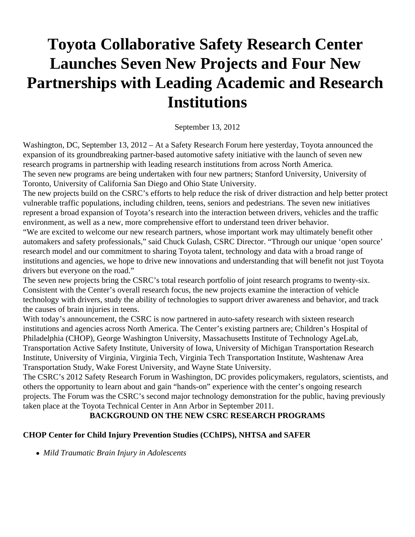# **Toyota Collaborative Safety Research Center Launches Seven New Projects and Four New Partnerships with Leading Academic and Research Institutions**

September 13, 2012

Washington, DC, September 13, 2012 – At a Safety Research Forum here yesterday, Toyota announced the expansion of its groundbreaking partner-based automotive safety initiative with the launch of seven new research programs in partnership with leading research institutions from across North America. The seven new programs are being undertaken with four new partners; Stanford University, University of Toronto, University of California San Diego and Ohio State University.

The new projects build on the CSRC's efforts to help reduce the risk of driver distraction and help better protect vulnerable traffic populations, including children, teens, seniors and pedestrians. The seven new initiatives represent a broad expansion of Toyota's research into the interaction between drivers, vehicles and the traffic environment, as well as a new, more comprehensive effort to understand teen driver behavior.

"We are excited to welcome our new research partners, whose important work may ultimately benefit other automakers and safety professionals," said Chuck Gulash, CSRC Director. "Through our unique 'open source' research model and our commitment to sharing Toyota talent, technology and data with a broad range of institutions and agencies, we hope to drive new innovations and understanding that will benefit not just Toyota drivers but everyone on the road."

The seven new projects bring the CSRC's total research portfolio of joint research programs to twenty-six. Consistent with the Center's overall research focus, the new projects examine the interaction of vehicle technology with drivers, study the ability of technologies to support driver awareness and behavior, and track the causes of brain injuries in teens.

With today's announcement, the CSRC is now partnered in auto-safety research with sixteen research institutions and agencies across North America. The Center's existing partners are; Children's Hospital of Philadelphia (CHOP), George Washington University, Massachusetts Institute of Technology AgeLab, Transportation Active Safety Institute, University of Iowa, University of Michigan Transportation Research Institute, University of Virginia, Virginia Tech, Virginia Tech Transportation Institute, Washtenaw Area Transportation Study, Wake Forest University, and Wayne State University.

The CSRC's 2012 Safety Research Forum in Washington, DC provides policymakers, regulators, scientists, and others the opportunity to learn about and gain "hands-on" experience with the center's ongoing research projects. The Forum was the CSRC's second major technology demonstration for the public, having previously taken place at the Toyota Technical Center in Ann Arbor in September 2011.

#### **BACKGROUND ON THE NEW CSRC RESEARCH PROGRAMS**

#### **CHOP Center for Child Injury Prevention Studies (CChIPS), NHTSA and SAFER**

*Mild Traumatic Brain Injury in Adolescents*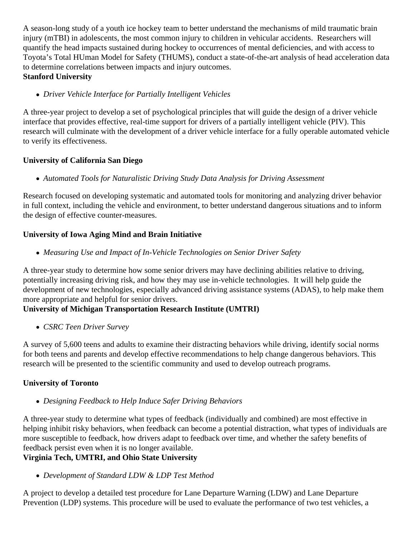A season-long study of a youth ice hockey team to better understand the mechanisms of mild traumatic brain injury (mTBI) in adolescents, the most common injury to children in vehicular accidents. Researchers will quantify the head impacts sustained during hockey to occurrences of mental deficiencies, and with access to Toyota's Total HUman Model for Safety (THUMS), conduct a state-of-the-art analysis of head acceleration data to determine correlations between impacts and injury outcomes. **Stanford University**

*Driver Vehicle Interface for Partially Intelligent Vehicles*

A three-year project to develop a set of psychological principles that will guide the design of a driver vehicle interface that provides effective, real-time support for drivers of a partially intelligent vehicle (PIV). This research will culminate with the development of a driver vehicle interface for a fully operable automated vehicle to verify its effectiveness.

#### **University of California San Diego**

*Automated Tools for Naturalistic Driving Study Data Analysis for Driving Assessment*

Research focused on developing systematic and automated tools for monitoring and analyzing driver behavior in full context, including the vehicle and environment, to better understand dangerous situations and to inform the design of effective counter-measures.

## **University of Iowa Aging Mind and Brain Initiative**

*Measuring Use and Impact of In-Vehicle Technologies on Senior Driver Safety*

A three-year study to determine how some senior drivers may have declining abilities relative to driving, potentially increasing driving risk, and how they may use in-vehicle technologies. It will help guide the development of new technologies, especially advanced driving assistance systems (ADAS), to help make them more appropriate and helpful for senior drivers.

## **University of Michigan Transportation Research Institute (UMTRI)**

*CSRC Teen Driver Survey*

A survey of 5,600 teens and adults to examine their distracting behaviors while driving, identify social norms for both teens and parents and develop effective recommendations to help change dangerous behaviors. This research will be presented to the scientific community and used to develop outreach programs.

## **University of Toronto**

*Designing Feedback to Help Induce Safer Driving Behaviors*

A three-year study to determine what types of feedback (individually and combined) are most effective in helping inhibit risky behaviors, when feedback can become a potential distraction, what types of individuals are more susceptible to feedback, how drivers adapt to feedback over time, and whether the safety benefits of feedback persist even when it is no longer available.

## **Virginia Tech, UMTRI, and Ohio State University**

*Development of Standard LDW & LDP Test Method*

A project to develop a detailed test procedure for Lane Departure Warning (LDW) and Lane Departure Prevention (LDP) systems. This procedure will be used to evaluate the performance of two test vehicles, a